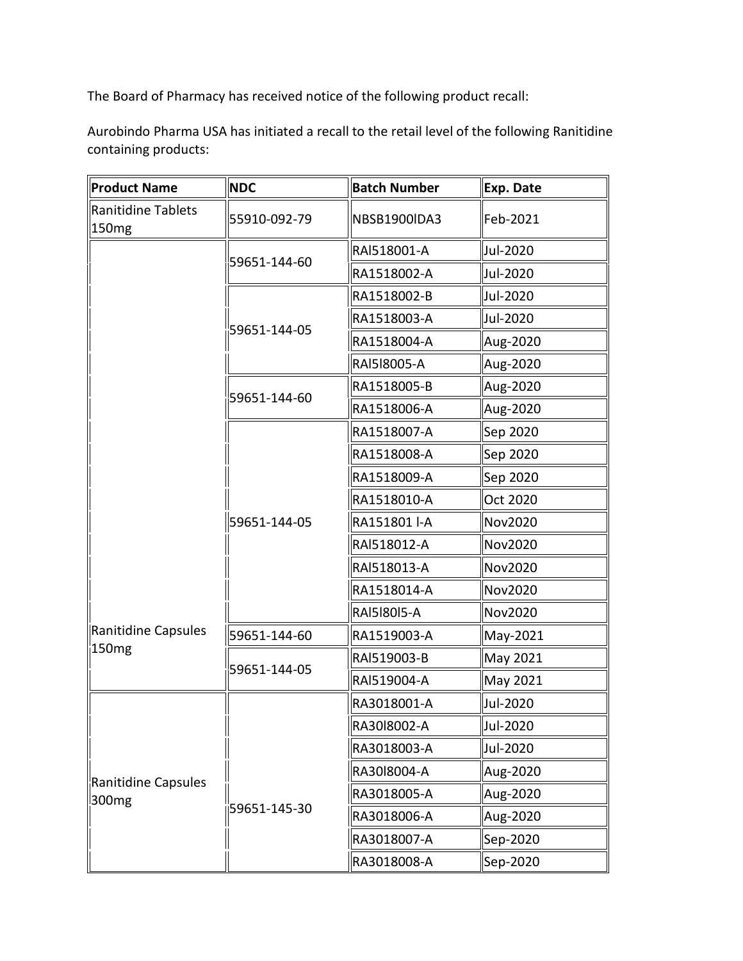The Board of Pharmacy has received notice of the following product recall:

 Aurobindo Pharma USA has initiated a recall to the retail level of the following Ranitidine containing products:

| Product Name                             | <b>NDC</b>                                   | <b>Batch Number</b> | Exp. Date |
|------------------------------------------|----------------------------------------------|---------------------|-----------|
| Ranitidine Tablets<br>150mg              | 55910-092-79                                 | NBSB1900IDA3        | Feb-2021  |
|                                          |                                              | RAI518001-A         | Jul-2020  |
|                                          | 59651-144-60<br>59651-144-05<br>59651-144-60 | RA1518002-A         | Jul-2020  |
|                                          |                                              | RA1518002-B         | Jul-2020  |
|                                          |                                              | RA1518003-A         | Jul-2020  |
|                                          |                                              | RA1518004-A         | Aug-2020  |
|                                          |                                              | RAI518005-A         | Aug-2020  |
|                                          |                                              | RA1518005-B         | Aug-2020  |
|                                          |                                              | RA1518006-A         | Aug-2020  |
|                                          | 59651-144-05                                 | RA1518007-A         | Sep 2020  |
|                                          |                                              | RA1518008-A         | Sep 2020  |
|                                          |                                              | RA1518009-A         | Sep 2020  |
|                                          |                                              | RA1518010-A         | Oct 2020  |
|                                          |                                              | RA151801 I-A        | Nov2020   |
|                                          |                                              | RAI518012-A         | Nov2020   |
|                                          |                                              | RAI518013-A         | Nov2020   |
|                                          |                                              | RA1518014-A         | Nov2020   |
|                                          |                                              | <b>RAI5I80I5-A</b>  | Nov2020   |
| Ranitidine Capsules                      | 59651-144-60                                 | RA1519003-A         | May-2021  |
| 150 <sub>mg</sub>                        |                                              | RAI519003-B         | May 2021  |
|                                          | 59651-144-05                                 | RAI519004-A         | May 2021  |
|                                          |                                              | RA3018001-A         | Jul-2020  |
|                                          |                                              | RA3018002-A         | Jul-2020  |
|                                          |                                              | RA3018003-A         | Jul-2020  |
|                                          |                                              | RA3018004-A         | Aug-2020  |
| Ranitidine Capsules<br>300 <sub>mg</sub> |                                              | RA3018005-A         | Aug-2020  |
|                                          | 59651-145-30                                 | RA3018006-A         | Aug-2020  |
|                                          |                                              | RA3018007-A         | Sep-2020  |
|                                          |                                              | RA3018008-A         | Sep-2020  |